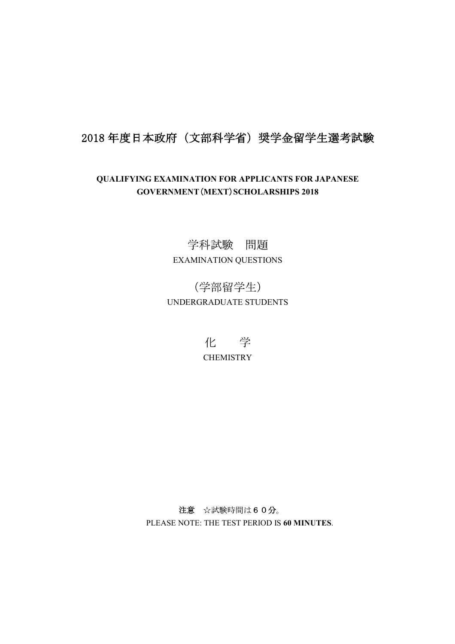## 2018年度日本政府(文部科学省)奨学金留学生選考試験

## QUALIFYING EXAMINATION FOR APPLICANTS FOR JAPANESE GOVERNMENT (MEXT) SCHOLARSHIPS 2018

学科試験 問題 EXAMINATION QUESTIONS

(学部留学生) UNDERGRADUATE STUDENTS

> 化 学 **CHEMISTRY**

注意 ☆試験時間は60分。 PLEASE NOTE: THE TEST PERIOD IS 60 MINUTES.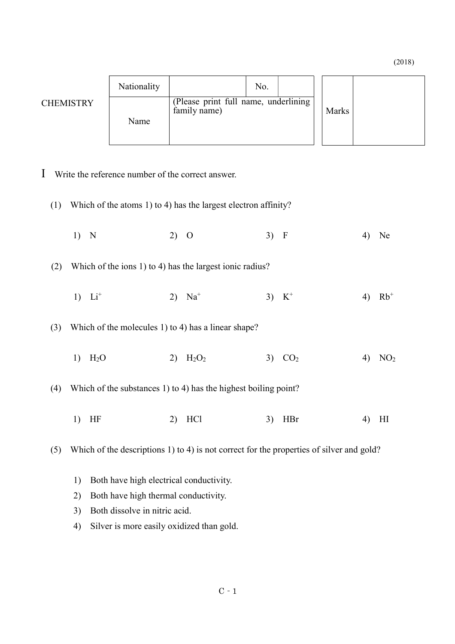(2018)

|                  | Nationality |                                                      | No. |  |       |  |
|------------------|-------------|------------------------------------------------------|-----|--|-------|--|
| <b>CHEMISTRY</b> | Name        | (Please print full name, underlining<br>family name) |     |  | Marks |  |

I Write the reference number of the correct answer.

(1) Which of the atoms 1) to 4) has the largest electron affinity?

1) N 2) O 3) F 4) Ne

(2) Which of the ions 1) to 4) has the largest ionic radius?

1)  $Li^+$  2)  $Na^+$  3)  $K^+$  4)  $Rb^+$ 

(3) Which of the molecules 1) to 4) has a linear shape?

1) H<sub>2</sub>O 2) H<sub>2</sub>O<sub>2</sub> 3) CO<sub>2</sub> 4) NO<sub>2</sub>

(4) Which of the substances 1) to 4) has the highest boiling point?

1) HF 2) HCl 3) HBr 4) HI

(5) Which of the descriptions 1) to 4) is not correct for the properties of silver and gold?

- 1) Both have high electrical conductivity.
- 2) Both have high thermal conductivity.
- 3) Both dissolve in nitric acid.
- 4) Silver is more easily oxidized than gold.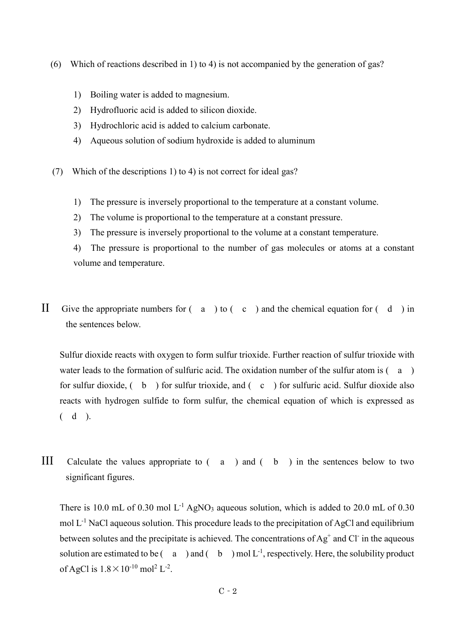- (6) Which of reactions described in 1) to 4) is not accompanied by the generation of gas?
	- 1) Boiling water is added to magnesium.
	- 2) Hydrofluoric acid is added to silicon dioxide.
	- 3) Hydrochloric acid is added to calcium carbonate.
	- 4) Aqueous solution of sodium hydroxide is added to aluminum
- (7) Which of the descriptions 1) to 4) is not correct for ideal gas?
	- 1) The pressure is inversely proportional to the temperature at a constant volume.
	- 2) The volume is proportional to the temperature at a constant pressure.
	- 3) The pressure is inversely proportional to the volume at a constant temperature.

4) The pressure is proportional to the number of gas molecules or atoms at a constant volume and temperature.

II Give the appropriate numbers for  $(a \mid b)$  to  $(c \mid c)$  and the chemical equation for  $(d \mid b)$  in the sentences below.

 Sulfur dioxide reacts with oxygen to form sulfur trioxide. Further reaction of sulfur trioxide with water leads to the formation of sulfuric acid. The oxidation number of the sulfur atom is  $(a)$ for sulfur dioxide,  $($  b  $)$  for sulfur trioxide, and  $($  c  $)$  for sulfuric acid. Sulfur dioxide also reacts with hydrogen sulfide to form sulfur, the chemical equation of which is expressed as  $(d)$ .

III Calculate the values appropriate to ( a ) and ( b ) in the sentences below to two significant figures.

There is 10.0 mL of 0.30 mol  $L^{-1}$  AgNO<sub>3</sub> aqueous solution, which is added to 20.0 mL of 0.30 mol  $L^{-1}$  NaCl aqueous solution. This procedure leads to the precipitation of AgCl and equilibrium between solutes and the precipitate is achieved. The concentrations of  $Ag^+$  and Cl in the aqueous solution are estimated to be  $(a \cap a)$  and  $(b \cap a)$  mol  $L^{-1}$ , respectively. Here, the solubility product of AgCl is  $1.8 \times 10^{-10}$  mol<sup>2</sup> L<sup>-2</sup>.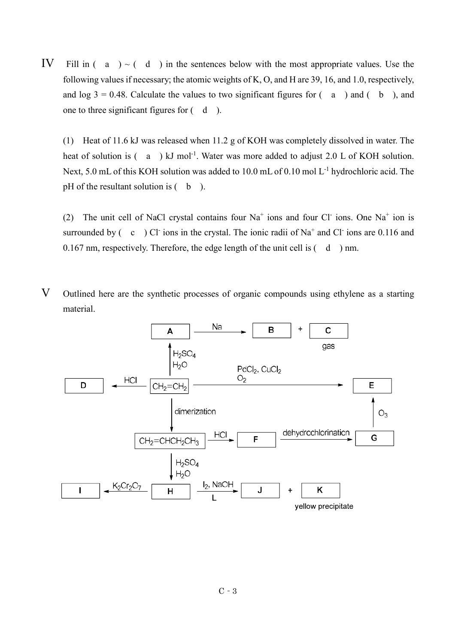IV Fill in  $(a) > (d)$  in the sentences below with the most appropriate values. Use the following values if necessary; the atomic weights of K, O, and H are 39, 16, and 1.0, respectively, and  $log 3 = 0.48$ . Calculate the values to two significant figures for  $(a)$  and  $(b)$ , and one to three significant figures for ( d ).

(1) Heat of 11.6 kJ was released when 11.2 g of KOH was completely dissolved in water. The heat of solution is  $(a)$  kJ mol<sup>-1</sup>. Water was more added to adjust 2.0 L of KOH solution. Next, 5.0 mL of this KOH solution was added to 10.0 mL of 0.10 mol L<sup>-1</sup> hydrochloric acid. The pH of the resultant solution is  $($  b  $)$ .

(2) The unit cell of NaCl crystal contains four  $Na<sup>+</sup>$  ions and four Cl ions. One Na<sup>+</sup> ion is surrounded by  $(c)$  Cl ions in the crystal. The ionic radii of Na<sup>+</sup> and Cl ions are 0.116 and 0.167 nm, respectively. Therefore, the edge length of the unit cell is  $(d)$  nm.

V Outlined here are the synthetic processes of organic compounds using ethylene as a starting material.

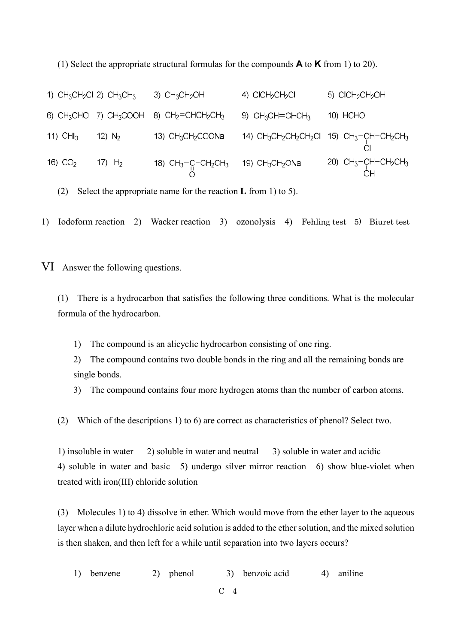(1) Select the appropriate structural formulas for the compounds  $\bf{A}$  to  $\bf{K}$  from 1) to 20).

1)  $CH_3CH_2Cl$  2)  $CH_3CH_3$  3)  $CH_3CH_2OH$  4)  $ClCH_2CH_2Cl$ 5) CICH<sub>2</sub>CH<sub>2</sub>OH 6)  $CH_3CHO$  7)  $CH_3COOH$  8)  $CH_2=CHCH_2CH_3$  9)  $CH_3CH=CHCH_3$  10) HCHO 12)  $N_2$  13)  $CH_3CH_2COONa$  14)  $CH_3CH_2CH_2CH_2CH_2CH_3$  15)  $CH_3$ -CH-CH<sub>2</sub>CH<sub>3</sub><br>CI 11) CHI $_3$ 16) CO<sub>2</sub> 17) H<sub>2</sub> 18) CH<sub>3</sub>-C-CH<sub>2</sub>CH<sub>3</sub> 19) CH<sub>3</sub>CH<sub>2</sub>ONa 20) CH<sub>3</sub>-CH-CH<sub>2</sub>CH<sub>3</sub><br>
O

(2) Select the appropriate name for the reaction  $\bf{L}$  from 1) to 5).

1) Iodoform reaction 2) Wacker reaction 3) ozonolysis 4) Fehling test 5) Biuret test

VI Answer the following questions.

(1) There is a hydrocarbon that satisfies the following three conditions. What is the molecular formula of the hydrocarbon.

- 1) The compound is an alicyclic hydrocarbon consisting of one ring.
- 2) The compound contains two double bonds in the ring and all the remaining bonds are single bonds.
- 3) The compound contains four more hydrogen atoms than the number of carbon atoms.
- (2) Which of the descriptions 1) to 6) are correct as characteristics of phenol? Select two.

1) insoluble in water 2) soluble in water and neutral 3) soluble in water and acidic 4) soluble in water and basic 5) undergo silver mirror reaction 6) show blue-violet when treated with iron(III) chloride solution

(3) Molecules 1) to 4) dissolve in ether. Which would move from the ether layer to the aqueous layer when a dilute hydrochloric acid solution is added to the ether solution, and the mixed solution is then shaken, and then left for a while until separation into two layers occurs?

1) benzene 2) phenol 3) benzoic acid 4) aniline

 $C - 4$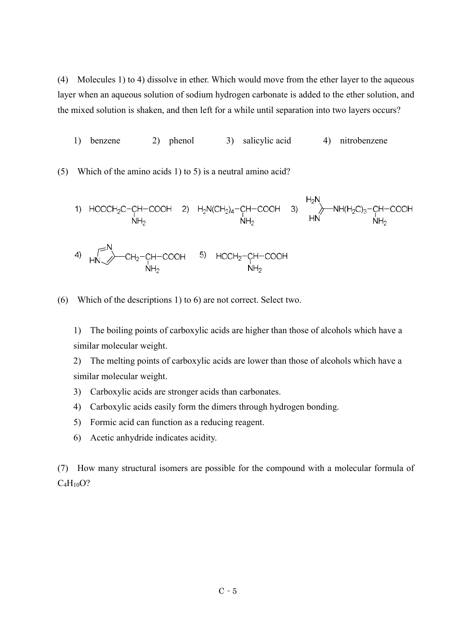(4) Molecules 1) to 4) dissolve in ether. Which would move from the ether layer to the aqueous layer when an aqueous solution of sodium hydrogen carbonate is added to the ether solution, and the mixed solution is shaken, and then left for a while until separation into two layers occurs?

1) benzene 2) phenol 3) salicylic acid 4) nitrobenzene

(5) Which of the amino acids 1) to 5) is a neutral amino acid?

1) HOOCH<sub>2</sub>C-CH-COOH 2) 
$$
H_2N(CH_2)_4
$$
-CH-COOH 3)  $H_2N$   
\n $NH_2$   $HH_2$   
\n2)  $H_2N(CH_2)_4$ -CH-COOH 3)  $HH_1H_2$   
\n3)  $HH_2$   $HH_2$   
\n4)  $HH_2$   $CH_2$ -CH-COOH 5) HOCH<sub>2</sub>-CH-COOH  $NH_2$   $NH_2$ 

(6) Which of the descriptions 1) to 6) are not correct. Select two.

 1) The boiling points of carboxylic acids are higher than those of alcohols which have a similar molecular weight.

 2) The melting points of carboxylic acids are lower than those of alcohols which have a similar molecular weight.

- 3) Carboxylic acids are stronger acids than carbonates.
- 4) Carboxylic acids easily form the dimers through hydrogen bonding.
- 5) Formic acid can function as a reducing reagent.
- 6) Acetic anhydride indicates acidity.

(7) How many structural isomers are possible for the compound with a molecular formula of  $C_4H_{10}O?$